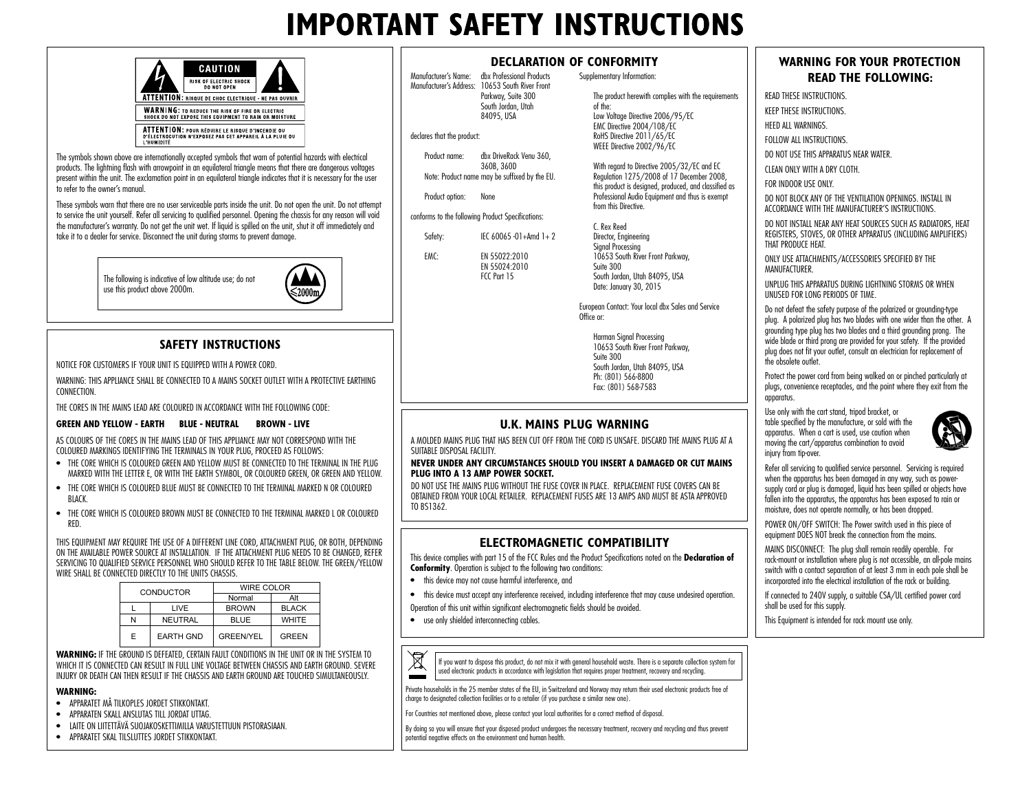# **IMPORTANT SAFETY INSTRUCTIONS**

 Parkway, Suite 300 South Jordan, Utah 84095, USA

EN 55024:2010 FCC Part 15

Manufacturer's Name: dbx Professional Products Manufacturer's Address: 10653 South River Front

Product name: dbx DriveRack Venu 360, 360B, 360D Note: Product name may be suffixed by the EU.

declares that the product:

Product option: None

conforms to the following Product Specifications: Safety: IEC 60065 -01+Amd 1+ 2 EMC: EN 55022:2010

|            | CAUTION                                                                                                          |  |
|------------|------------------------------------------------------------------------------------------------------------------|--|
|            | <b>RISK OF ELECTRIC SHOCK</b><br><b>DO NOT OPEN</b>                                                              |  |
|            | ATTENTION: RISQUE DE CHOC ELECTRIQUE - NE PAS OUVRIR                                                             |  |
|            | <b>WARNING: TO REDUCE THE RISK OF FIRE OR ELECTRIC</b><br>SHOCK DO NOT EXPOSE THIS EQUIPMENT TO RAIN OR MOISTURE |  |
| I HUMIDITË | ATTENTION: POUR RÉDUIRE LE RISQUE D'INCENDIE OU<br>D'ÉLECTROCUTION N'EXPOSEZ PAS CET APPAREIL À LA PLUIE OU      |  |

The symbols shown above are internationally accepted symbols that warn of potential hazards with electrical products. The lightning flash with arrowpoint in an equilateral triangle means that there are dangerous voltages present within the unit. The exclamation point in an equilateral triangle indicates that it is necessary for the user to refer to the owner's manual.

These symbols warn that there are no user serviceable parts inside the unit. Do not open the unit. Do not attempt to service the unit yourself. Refer all servicing to qualified personnel. Opening the chassis for any reason will void the manufacturer's warranty. Do not get the unit wet. If liquid is spilled on the unit, shut it off immediately and take it to a dealer for service. Disconnect the unit during storms to prevent damage.

> The following is indicative of low altitude use; do not use this product above 2000m.



### **SAFETY INSTRUCTIONS**

NOTICE FOR CUSTOMERS IF YOUR UNIT IS EQUIPPED WITH A POWER CORD.

WARNING: THIS APPLIANCE SHALL BE CONNECTED TO A MAINS SOCKET OUTLET WITH A PROTECTIVE EARTHING **CONNECTION** 

THE CORES IN THE MAINS LEAD ARE COLOURED IN ACCORDANCE WITH THE FOLLOWING CODE:

#### **GREEN AND YELLOW - FARTH BLUE - NEUTRAL BROWN - LIVE**

AS COLOURS OF THE CORES IN THE MAINS LEAD OF THIS APPLIANCE MAY NOT CORRESPOND WITH THE COLOURED MARKINGS IDENTIFYING THE TERMINALS IN YOUR PLUG, PROCEED AS FOLLOWS:

- THE CORE WHICH IS COLOURED GREEN AND YELLOW MUST BE CONNECTED TO THE TERMINAL IN THE PLUG MARKED WITH THE LETTER E, OR WITH THE EARTH SYMBOL, OR COLOURED GREEN, OR GREEN AND YELLOW.
- THE CORE WHICH IS COLOURED BLUE MUST BE CONNECTED TO THE TERMINAL MARKED N OR COLOURED BLACK.
- THE CORE WHICH IS COLOURED BROWN MUST BE CONNECTED TO THE TERMINAL MARKED L OR COLOURED RED.

THIS EQUIPMENT MAY REQUIRE THE USE OF A DIFFERENT LINE CORD, ATTACHMENT PLUG, OR BOTH, DEPENDING ON THE AVAILABLE POWER SOURCE AT INSTALLATION. IF THE ATTACHMENT PLUG NEEDS TO BE CHANGED, REFER SERVICING TO QUALIFIED SERVICE PERSONNEL WHO SHOULD REFER TO THE TABLE BELOW. THE GREEN/YELLOW WIRE SHALL BE CONNECTED DIRECTLY TO THE UNITS CHASSIS.

| CONDUCTOR |                  | WIRE COLOR       |              |
|-----------|------------------|------------------|--------------|
|           |                  | Normal           | Alt          |
|           | I IVE            | <b>BROWN</b>     | <b>BLACK</b> |
| N         | NEUTRAL          | <b>BLUE</b>      | <b>WHITE</b> |
| Е         | <b>EARTH GND</b> | <b>GREEN/YEL</b> | GREEN        |

**WARNING:** IF THE GROUND IS DEFEATED, CERTAIN FAULT CONDITIONS IN THE UNIT OR IN THE SYSTEM TO WHICH IT IS CONNECTED CAN RESULT IN FULL LINE VOLTAGE BETWEEN CHASSIS AND EARTH GROUND. SEVERE INJURY OR DEATH CAN THEN RESULT IF THE CHASSIS AND EARTH GROUND ARE TOUCHED SIMULTANEOUSLY.

#### **WARNING:**

- APPARATET MÅ TILKOPLES JORDET STIKKONTAKT.
- APPARATEN SKALL ANSLUTAS TILL JORDAT UTTAG.
- LAITE ON LIITETTÄVÄ SUOJAKOSKETTIMILLA VARUSTETTUUN PISTORASIAAN.
- APPARATET SKAL TILSLUTTES JORDET STIKKONTAKT.

|  |  |  | DECLARATION OF CONFORMITY |
|--|--|--|---------------------------|
|  |  |  |                           |

Supplementary Information:

The product herewith complies with the requirements of the: Low Voltage Directive 2006/95/EC EMC Directive 2004/108/EC RoHS Directive 2011/65/EC WEEE Directive 2002/96/EC

With regard to Directive 2005/32/EC and EC Regulation 1275/2008 of 17 December 2008, this product is designed, produced, and classified as Professional Audio Equipment and thus is exempt from this Directive.

C. Rex Reed Director, Engineering Signal Processing 10653 South River Front Parkway, Suite 300 South Jordan, Utah 84095, USA Date: January 30, 2015

European Contact: Your local dbx Sales and Service Office or:

Harman Sianal Processina 10653 South River Front Parkway, Suite 300 South Jordan, Utah 84095, USA Ph: (801) 566-8800 Fax: (801) 568-7583

### **U.K. MAINS PLUG WARNING**

A MOLDED MAINS PLUG THAT HAS BEEN CUT OFF FROM THE CORD IS UNSAFE. DISCARD THE MAINS PLUG AT A SUITABLE DISPOSAL FACILITY.

#### **NEVER UNDER ANY CIRCUMSTANCES SHOULD YOU INSERT A DAMAGED OR CUT MAINS PLUG INTO A 13 AMP POWER SOCKET.**

DO NOT USE THE MAINS PLUG WITHOUT THE FUSE COVER IN PLACE. REPLACEMENT FUSE COVERS CAN BE OBTAINED FROM YOUR LOCAL RETAILER. REPLACEMENT FUSES ARE 13 AMPS AND MUST BE ASTA APPROVED TO BS1362.

### **ELECTROMAGNETIC COMPATIBILITY**

This device complies with part 15 of the FCC Rules and the Product Specifications noted on the **Declaration of Conformity**. Operation is subject to the following two conditions:

- this device may not cause harmful interference, and
- this device must accept any interference received, including interference that may cause undesired operation. Operation of this unit within significant electromagnetic fields should be avoided.
- use only shielded interconnecting cables.



If you want to dispose this product, do not mix it with general household waste. There is a separate collection system for used electronic products in accordance with legislation that requires proper treatment, recovery and recycling.

Private households in the 25 member states of the EU, in Switzerland and Norway may return their used electronic products free of charge to designated collection facilities or to a retailer (if you purchase a similar new one).

For Countries not mentioned above, please contact your local authorities for a correct method of disposal.

By doing so you will ensure that your disposed product undergoes the necessary treatment, recovery and recycling and thus prevent potential negative effects on the environment and human health.

## **WARNING FOR YOUR PROTECTION READ THE FOLLOWING:**

READ THESE INSTRUCTIONS.

KEEP THESE INSTRUCTIONS.

HEED ALL WARNINGS

FOLLOW ALL INSTRUCTIONS.

DO NOT USE THIS APPARATUS NEAR WATER.

CLEAN ONLY WITH A DRY CLOTH.

FOR INDOOR USE ONLY.

DO NOT BLOCK ANY OF THE VENTILATION OPENINGS. INSTALL IN ACCORDANCE WITH THE MANUFACTURER'S INSTRUCTIONS.

DO NOT INSTALL NEAR ANY HEAT SOURCES SUCH AS RADIATORS, HEAT REGISTERS, STOVES, OR OTHER APPARATUS (INCLUDING AMPLIFIERS) THAT PRODUCE HEAT.

ONLY USE ATTACHMENTS/ACCESSORIES SPECIFIED BY THE **MANUFACTURER** 

UNPLUG THIS APPARATUS DURING LIGHTNING STORMS OR WHEN UNUSED FOR LONG PERIODS OF TIME.

Do not defeat the safety purpose of the polarized or grounding-type plug. A polarized plug has two blades with one wider than the other. A grounding type plug has two blades and a third grounding prong. The wide blade or third prong are provided for your safety. If the provided plug does not fit your outlet, consult an electrician for replacement of the obsolete outlet.

Protect the power cord from being walked on or pinched particularly at plugs, convenience receptacles, and the point where they exit from the apparatus.

Use only with the cart stand, tripod bracket, or table specified by the manufacture, or sold with the apparatus. When a cart is used, use caution when moving the cart/apparatus combination to avoid injury from tip-over.



Refer all servicing to qualified service personnel. Servicing is required when the apparatus has been damaged in any way, such as powersupply cord or plug is damaged, liquid has been spilled or objects have fallen into the apparatus, the apparatus has been exposed to rain or moisture, does not operate normally, or has been dropped.

POWER ON/OFF SWITCH: The Power switch used in this piece of equipment DOES NOT break the connection from the mains.

MAINS DISCONNECT: The plug shall remain readily operable. For rack-mount or installation where plug is not accessible, an all-pole mains switch with a contact separation of at least 3 mm in each pole shall be incorporated into the electrical installation of the rack or building.

If connected to 240V supply, a suitable CSA/UL certified power cord shall be used for this supply.

This Equipment is intended for rack mount use only.